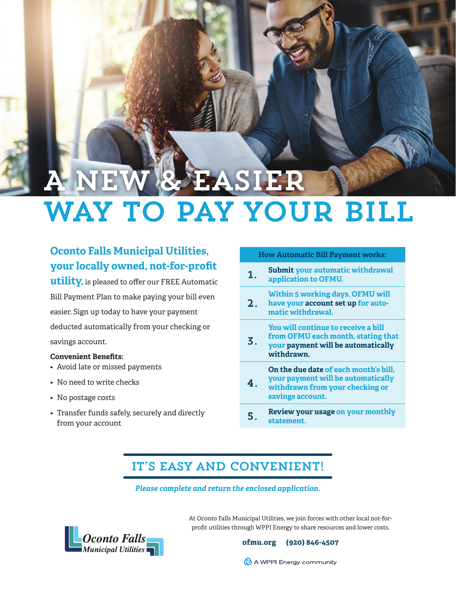# **I New York** Way to Pay Your Bill

### **Oconto Falls Municipal Utilities, your locally owned, not-for-profit**

**utility,** is pleased to offer our FREE Automatic Bill Payment Plan to make paying your bill even easier. Sign up today to have your payment deducted automatically from your checking or savings account.

### **Convenient Benefits:**

- Avoid late or missed payments
- No need to write checks
- No postage costs
- Transfer funds safely, securely and directly from your account

### **How Automatic Bill Payment works:**

- 1. **Submit your automatic withdrawal application to OFMU.**
- 2. **Within 5 working days, OFMU will have your account set up for automatic withdrawal.**

### **You will continue to receive a bill**

3. **from OFMU each month, stating that your payment will be automatically withdrawn.**

4. **On the due date of each month's bill, your payment will be automatically withdrawn from your checking or savings account.**

5. **Review your usage on your monthly statement.**

### IT'S EASY AND CONVENIENT!

### *Please complete and return the enclosed application.*



At Oconto Falls Municipal Utilities, we join forces with other local not-forprofit utilities through WPPI Energy to share resources and lower costs.

**ofmu.org (920) 846-4507**

A WPPI Energy community